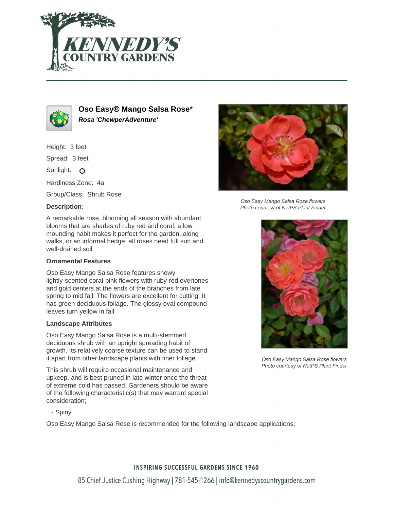



**Oso Easy® Mango Salsa Rose**\* **Rosa 'ChewperAdventure'**

Height: 3 feet

Spread: 3 feet

Sunlight: O

Hardiness Zone: 4a

Group/Class: Shrub Rose

## **Description:**

A remarkable rose, blooming all season with abundant blooms that are shades of ruby red and coral; a low mounding habit makes it perfect for the garden, along walks, or an informal hedge; all roses need full sun and well-drained soil

## **Ornamental Features**

Oso Easy Mango Salsa Rose features showy lightly-scented coral-pink flowers with ruby-red overtones and gold centers at the ends of the branches from late spring to mid fall. The flowers are excellent for cutting. It has green deciduous foliage. The glossy oval compound leaves turn yellow in fall.

#### **Landscape Attributes**

Oso Easy Mango Salsa Rose is a multi-stemmed deciduous shrub with an upright spreading habit of growth. Its relatively coarse texture can be used to stand it apart from other landscape plants with finer foliage.

This shrub will require occasional maintenance and upkeep, and is best pruned in late winter once the threat of extreme cold has passed. Gardeners should be aware of the following characteristic(s) that may warrant special consideration;



Oso Easy Mango Salsa Rose flowers Photo courtesy of NetPS Plant Finder



Oso Easy Mango Salsa Rose flowers Photo courtesy of NetPS Plant Finder

- Spiny

Oso Easy Mango Salsa Rose is recommended for the following landscape applications;

## **INSPIRING SUCCESSFUL GARDENS SINCE 1960**

85 Chief Justice Cushing Highway | 781-545-1266 | info@kennedyscountrygardens.com